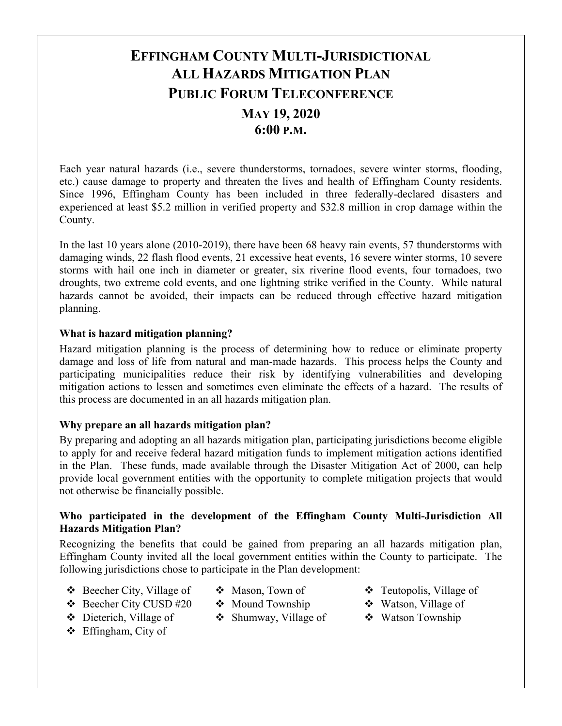# **EFFINGHAM COUNTY MULTI-JURISDICTIONAL ALL HAZARDS MITIGATION PLAN PUBLIC FORUM TELECONFERENCE MAY 19, 2020 6:00 P.M.**

Each year natural hazards (i.e., severe thunderstorms, tornadoes, severe winter storms, flooding, etc.) cause damage to property and threaten the lives and health of Effingham County residents. Since 1996, Effingham County has been included in three federally-declared disasters and experienced at least \$5.2 million in verified property and \$32.8 million in crop damage within the County.

In the last 10 years alone (2010-2019), there have been 68 heavy rain events, 57 thunderstorms with damaging winds, 22 flash flood events, 21 excessive heat events, 16 severe winter storms, 10 severe storms with hail one inch in diameter or greater, six riverine flood events, four tornadoes, two droughts, two extreme cold events, and one lightning strike verified in the County. While natural hazards cannot be avoided, their impacts can be reduced through effective hazard mitigation planning.

## **What is hazard mitigation planning?**

Hazard mitigation planning is the process of determining how to reduce or eliminate property damage and loss of life from natural and man-made hazards. This process helps the County and participating municipalities reduce their risk by identifying vulnerabilities and developing mitigation actions to lessen and sometimes even eliminate the effects of a hazard. The results of this process are documented in an all hazards mitigation plan.

#### **Why prepare an all hazards mitigation plan?**

By preparing and adopting an all hazards mitigation plan, participating jurisdictions become eligible to apply for and receive federal hazard mitigation funds to implement mitigation actions identified in the Plan. These funds, made available through the Disaster Mitigation Act of 2000, can help provide local government entities with the opportunity to complete mitigation projects that would not otherwise be financially possible.

## **Who participated in the development of the Effingham County Multi-Jurisdiction All Hazards Mitigation Plan?**

Recognizing the benefits that could be gained from preparing an all hazards mitigation plan, Effingham County invited all the local government entities within the County to participate. The following jurisdictions chose to participate in the Plan development:

- Beecher City, Village of
- Mason, Town of ❖ Mound Township
- Beecher City CUSD #20
- Dieterich, Village of
- Effingham, City of
- $\div$  Shumway, Village of
	-
- Teutopolis, Village of
- Watson, Village of
- ❖ Watson Township